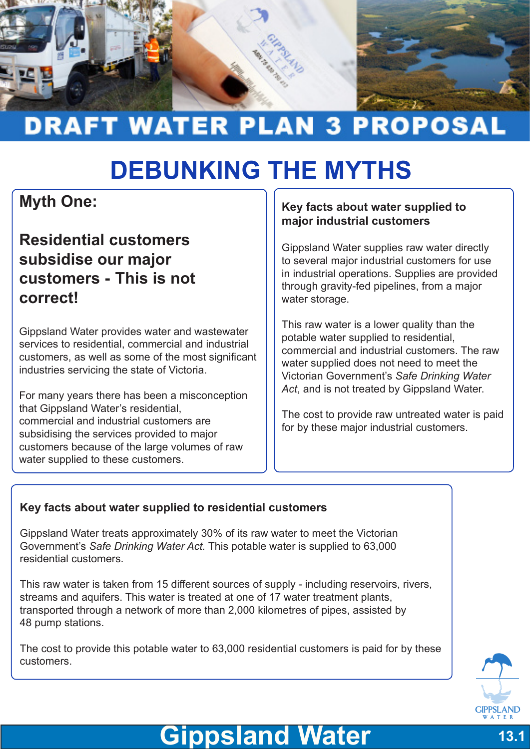

# **DRAFT WATER PLAN 3 PROPOSAL**

# **DEBUNKING THE MYTHS**

## **Myth One:**

### **Residential customers subsidise our major customers - This is not correct!**

Gippsland Water provides water and wastewater services to residential, commercial and industrial customers, as well as some of the most significant industries servicing the state of Victoria.

For many years there has been a misconception that Gippsland Water's residential, commercial and industrial customers are subsidising the services provided to major customers because of the large volumes of raw water supplied to these customers.

#### **Key facts about water supplied to major industrial customers**

Gippsland Water supplies raw water directly to several major industrial customers for use in industrial operations. Supplies are provided through gravity-fed pipelines, from a major water storage.

This raw water is a lower quality than the potable water supplied to residential, commercial and industrial customers. The raw water supplied does not need to meet the Victorian Government's *Safe Drinking Water Act*, and is not treated by Gippsland Water.

The cost to provide raw untreated water is paid for by these major industrial customers.

#### **Key facts about water supplied to residential customers**

Gippsland Water treats approximately 30% of its raw water to meet the Victorian Government's *Safe Drinking Water Act.* This potable water is supplied to 63,000 residential customers.

This raw water is taken from 15 different sources of supply - including reservoirs, rivers, streams and aquifers. This water is treated at one of 17 water treatment plants, transported through a network of more than 2,000 kilometres of pipes, assisted by 48 pump stations.

The cost to provide this potable water to 63,000 residential customers is paid for by these customers.



## **Gippsland Water 13.1**